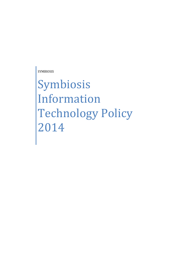SYMBIOSIS

Symbiosis Information Technology Policy 2014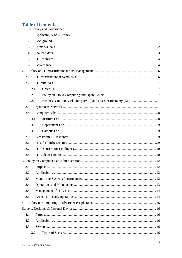# **Table of Contents**

| 1.  |       |  |
|-----|-------|--|
|     | 1.1   |  |
|     | 1.2   |  |
|     | 1.3   |  |
|     | 1.4   |  |
|     | 1.5   |  |
|     | 1.6   |  |
| 2.  |       |  |
|     | 2.1   |  |
| 2.2 |       |  |
|     | 2.2.1 |  |
|     | 2.2.2 |  |
|     | 2.2.3 |  |
|     | 2.3   |  |
|     | 2.4   |  |
|     | 2.4.1 |  |
|     | 2.4.2 |  |
|     | 2.4.3 |  |
|     | 2.5   |  |
|     | 2.6   |  |
|     | 2.7   |  |
|     | 2.8   |  |
|     |       |  |
|     | 3.1   |  |
|     | 3.2   |  |
|     | 3.3   |  |
|     | 3.4   |  |
|     | 3.5   |  |
|     | 3.6   |  |
| 4.  |       |  |
|     |       |  |
|     | 4.1   |  |
|     | 4.2   |  |
|     | 4.3   |  |
|     | 4.3.2 |  |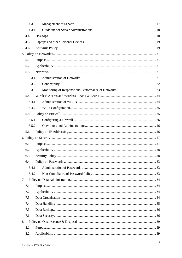|     | 4.3.3 |  |
|-----|-------|--|
|     | 4.3.4 |  |
| 4.4 |       |  |
| 4.5 |       |  |
| 4.6 |       |  |
|     |       |  |
| 5.1 |       |  |
| 5.2 |       |  |
| 5.3 |       |  |
|     | 5.3.1 |  |
|     | 5.3.2 |  |
|     | 5.3.3 |  |
| 5.4 |       |  |
|     | 5.4.1 |  |
|     | 5.4.2 |  |
| 5.5 |       |  |
|     | 5.5.1 |  |
|     | 5.5.2 |  |
| 5.6 |       |  |
|     |       |  |
|     |       |  |
| 6.1 |       |  |
| 6.2 |       |  |
| 6.3 |       |  |
| 6.4 |       |  |
|     | 6.4.1 |  |
|     | 6.4.2 |  |
| 7.  |       |  |
| 7.1 |       |  |
| 7.2 |       |  |
| 7.3 |       |  |
| 7.4 |       |  |
| 7.5 |       |  |
| 7.6 |       |  |
| 8.  |       |  |
| 8.1 |       |  |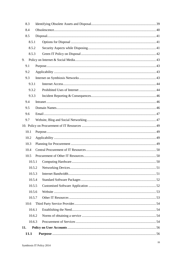|                  | 11.1       |  |  |  |  |
|------------------|------------|--|--|--|--|
| 11.              |            |  |  |  |  |
|                  | 10.6.3     |  |  |  |  |
| 10.6.2           |            |  |  |  |  |
|                  | 10.6.1     |  |  |  |  |
|                  | 10.6       |  |  |  |  |
|                  | 10.5.7     |  |  |  |  |
| 10.5.5<br>10.5.6 |            |  |  |  |  |
|                  |            |  |  |  |  |
|                  | 10.5.4     |  |  |  |  |
| 10.5.3           |            |  |  |  |  |
|                  | 10.5.2     |  |  |  |  |
|                  | 10.5.1     |  |  |  |  |
|                  | 10.5       |  |  |  |  |
|                  | 10.4       |  |  |  |  |
|                  | 10.3       |  |  |  |  |
|                  | 10.2       |  |  |  |  |
|                  | 10.1       |  |  |  |  |
|                  |            |  |  |  |  |
|                  | 9.7        |  |  |  |  |
|                  | 9.5<br>9.6 |  |  |  |  |
|                  | 9.4        |  |  |  |  |
|                  | 9.3.3      |  |  |  |  |
|                  | 9.3.2      |  |  |  |  |
|                  | 9.3.1      |  |  |  |  |
|                  | 9.3        |  |  |  |  |
|                  | 9.2        |  |  |  |  |
|                  | 9.1        |  |  |  |  |
| 9.               |            |  |  |  |  |
|                  | 8.5.3      |  |  |  |  |
|                  | 8.5.2      |  |  |  |  |
|                  | 8.5.1      |  |  |  |  |
|                  | 8.5        |  |  |  |  |
|                  | 8.4        |  |  |  |  |
|                  | 8.3        |  |  |  |  |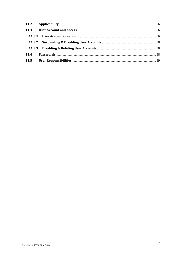| 11.3 |  |
|------|--|
|      |  |
|      |  |
|      |  |
| 11.4 |  |
| 11.5 |  |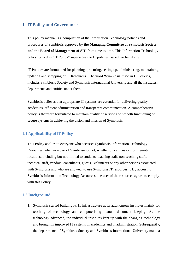# <span id="page-5-0"></span>**1. IT Policy and Governance**

This policy manual is a compilation of the Information Technology policies and procedures of Symbiosis approved by **the Managing Committee of Symbiosis Society and the Board of Management of SIU** from time to time. This Information Technology policy termed as "IT Policy" supersedes the IT policies issued earlier if any.

IT Policies are formulated for planning, procuring, setting up, administering, maintaining, updating and scrapping of IT Resources. The word 'Symbiosis' used in IT Policies, includes Symbiosis Society and Symbiosis International University and all the institutes, departments and entities under them.

Symbiosis believes that appropriate IT systems are essential for delivering quality academics, efficient administration and transparent communication. A comprehensive IT policy is therefore formulated to maintain quality of service and smooth functioning of secure systems in achieving the vision and mission of Symbiosis.

# <span id="page-5-1"></span>**1.1 Applicability of IT Policy**

This Policy applies to everyone who accesses Symbiosis Information Technology Resources, whether a part of Symbiosis or not, whether on campus or from remote locations, including but not limited to students, teaching staff, non-teaching staff, technical staff, vendors, consultants, guests, volunteers or any other persons associated with Symbiosis and who are allowed to use Symbiosis IT resources. . By accessing Symbiosis Information Technology Resources, the user of the resources agrees to comply with this Policy.

#### <span id="page-5-2"></span>**1.2 Background**

1. Symbiosis started building its IT infrastructure at its autonomous institutes mainly for teaching of technology and computerizing manual document keeping. As the technology advanced, the individual institutes kept up with the changing technology and brought in improved IT systems in academics and in administration. Subsequently, the departments of Symbiosis Society and Symbiosis International University made a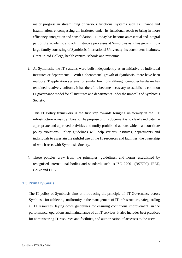major progress in streamlining of various functional systems such as Finance and Examination, encompassing all institutes under its functional reach to bring in more efficiency, integration and consolidation. IT today has become an essential and integral part of the academic and administrative processes at Symbiosis as it has grown into a large family consisting of Symbiosis International University, its constituent institutes, Grant-in-aid College, health centres, schools and museums.

- 2. At Symbiosis, the IT systems were built independently at an initiative of individual institutes or departments. With a phenomenal growth of Symbiosis, there have been multiple IT application systems for similar functions although computer hardware has remained relatively uniform. It has therefore become necessary to establish a common IT governance model for all institutes and departments under the umbrella of Symbiosis Society.
- 3. This IT Policy framework is the first step towards bringing uniformity in the IT infrastructure across Symbiosis. The purpose of this document is to clearly indicate the appropriate and approved activities and notify prohibited actions which can constitute policy violations. Policy guidelines will help various institutes, departments and individuals to ascertain the rightful use of the IT resources and facilities, the ownership of which rests with Symbiosis Society.
- 4. These policies draw from the principles, guidelines, and norms established by recognised international bodies and standards such as ISO 27001 (BS7799), IEEE, CoBit and ITIL.

#### <span id="page-6-0"></span>**1.3 Primary Goals**

The IT policy of Symbiosis aims at introducing the principle of IT Governance across Symbiosis for achieving uniformity in the management of IT infrastructure, safeguarding all IT resources, laying down guidelines for ensuring continuous improvement in the performance, operations and maintenance of all IT services. It also includes best practices for administering IT resources and facilities, and authorization of accesses to the users.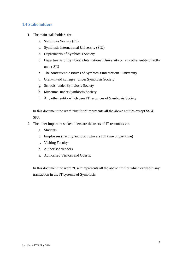# <span id="page-7-0"></span>**1.4 Stakeholders**

- 1. The main stakeholders are
	- a. Symbiosis Society (SS)
	- b. Symbiosis International University (SIU)
	- c. Departments of Symbiosis Society
	- d. Departments of Symbiosis International University or any other entity directly under SIU
	- e. The constituent institutes of Symbiosis International University
	- f. Grant-in-aid colleges under Symbiosis Society
	- g. Schools under Symbiosis Society
	- h. Museums under Symbiosis Society
	- i. Any other entity which uses IT resources of Symbiosis Society.

In this document the word "Institute" represents all the above entities except SS  $\&$ SIU.

- 2. The other important stakeholders are the users of IT resources viz.
	- a. Students
	- b. Employees (Faculty and Staff who are full time or part time)
	- c. Visiting Faculty
	- d. Authorised vendors
	- e. Authorised Visitors and Guests.

In this document the word "User" represents all the above entities which carry out any transaction in the IT systems of Symbiosis.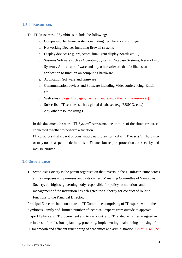### <span id="page-8-0"></span>**1.5 IT Resources**

The IT Resources of Symbiosis include the following:

- a. Computing Hardware Systems including peripherals and storage,
- b. Networking Devices including firewall systems
- c. Display devices (e.g. projectors, intelligent display boards etc…)
- d. Systems Software such as Operating Systems, Database Systems, Networking Systems, Anti-virus software and any other software that facilitates an application to function on computing hardware
- e. Application Software and firmware
- f. Communication devices and Software including Videoconferencing, Email etc.
- g. Web sites ( blogs, FB pages, Twitter handle and other online resources)
- h. Subscribed IT services such as global databases (e.g. EBSCO, etc..)
- i. Any other resource using IT

In this document the word "IT System" represents one or more of the above resources connected together to perform a function.

IT Resources that are not of consumable nature are termed as "IT Assets". These may or may not be as per the definitions of Finance but require protection and security and may be audited.

#### <span id="page-8-1"></span>**1.6 Governance**

1. Symbiosis Society is the parent organisation that invests in the IT infrastructure across all its campuses and premises and is its owner. Managing Committee of Symbiosis Society, the highest governing body responsible for policy formulations and management of the institution has delegated the authority for conduct of routine functions to the Principal Director.

Principal Director shall constitute an IT Committee comprising of IT experts within the Symbiosis Family and limited number of technical experts from outside to approve major IT plans and IT procurement and to carry out any IT related activities assigned in the interest of professional planning, procuring, implementing, maintaining or using of IT for smooth and efficient functioning of academics and administration. Chief IT will be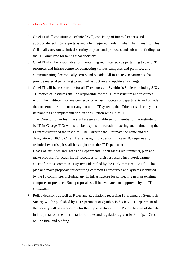#### ex officio Member of this committee.

- 2. Chief IT shall constitute a Technical Cell, consisting of internal experts and appropriate technical experts as and when required, under his/her Chairmanship. This Cell shall carry out technical scrutiny of plans and proposals and submit its findings to the IT Committee for taking final decisions.
- 3. Chief IT shall be responsible for maintaining requisite records pertaining to basic IT resources and infrastructure for connecting various campuses and premises; and communicating electronically across and outside. All institutes/Departments shall provide material pertaining to such infrastructure and update any change.
- 4. Chief IT will be responsible for all IT resources at Symbiosis Society including SIU .
- 5. Directors of Institutes shall be responsible for the IT infrastructure and resources within the institute. For any connectivity across institutes or departments and outside the concerned institute or for any common IT systems, the Director shall carry out its planning and implementation in consultation with Chief IT.

The Director of an Institute shall assign a suitable senior member of the institute to be IT-In-Charge (IIC) who shall be responsible for administering and maintaining the IT infrastructure of the institute. The Director shall intimate the name and the designation of IIC to Chief IT after assigning a person. In case IIC requires any technical expertise, it shall be sought from the IT Department.

- 6. Heads of Institutes and Heads of Departments shall assess requirements, plan and make proposal for acquiring IT resources for their respective institute/department except for those common IT systems identified by the IT Committee. Chief IT shall plan and make proposals for acquiring common IT resources and systems identified by the IT committee, including any IT Infrastructure for connecting new or existing campuses or premises. Such proposals shall be evaluated and approved by the IT Committee.
- 7. Policy decisions as well as Rules and Regulations regarding IT, framed by Symbiosis Society will be published by IT Department of Symbiosis Society. IT department of the Society will be responsible for the implementation of IT Policy. In case of dispute in interpretation, the interpretation of rules and regulations given by Principal Director will be final and binding.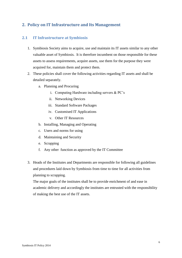# <span id="page-10-0"></span>**2. Policy on IT Infrastructure and Its Management**

# <span id="page-10-1"></span>**2.1 IT Infrastructure at Symbiosis**

- 1. Symbiosis Society aims to acquire, use and maintain its IT assets similar to any other valuable asset of Symbiosis. It is therefore incumbent on those responsible for these assets to assess requirements, acquire assets, use them for the purpose they were acquired for, maintain them and protect them.
- 2. These policies shall cover the following activities regarding IT assets and shall be detailed separately.
	- a. Planning and Procuring
		- i. Computing Hardware including servers & PC's
		- ii. Networking Devices
		- iii. Standard Software Packages
		- iv. Customised IT Applications
		- v. Other IT Resources
	- b. Installing, Managing and Operating
	- c. Users and norms for using
	- d. Maintaining and Security
	- e. Scrapping
	- f. Any other function as approved by the IT Committee
- 3. Heads of the Institutes and Departments are responsible for following all guidelines and procedures laid down by Symbiosis from time to time for all activities from planning to scrapping.

The major goals of the institutes shall be to provide enrichment of and ease in academic delivery and accordingly the institutes are entrusted with the responsibility of making the best use of the IT assets.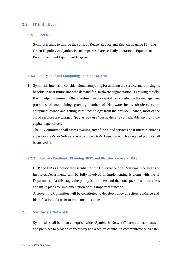#### <span id="page-11-0"></span>**2.2 IT Initiatives**

#### <span id="page-11-1"></span>**2.2.1 Green IT**

Symbiosis aims to imbibe the spirit of Reuse, Reduce and Recycle in using IT. The Green IT policy of Symbiosis encompasses 3 areas: Daily operations, Equipment Procurement and Equipment Disposal.

#### <span id="page-11-2"></span>**2.2.2 Policy on Cloud Computing and Open System**

- 1. Symbiosis intends to consider cloud computing for availing the service and utilising its benefits in near future since the demand for Hardware augmentation is growing rapidly. It will help in minimizing the investment in the capital items, reducing the management problems of maintaining growing number of Hardware items, obsolescence of equipment owned and getting latest technology from the provider. Since, most of the cloud services are charged "pay as you use" basis, there is considerable saving in the capital expenditure.
- 2. The IT Committee shall assess availing any of the cloud services be it Infrastructure as a Service (IaaS) or Software as a Service (SaaS) based on which a detailed policy shall be arrived at.

#### <span id="page-11-3"></span>**2.2.3 Business Continuity Planning (BCP) and Disaster Recovery (DR)**

BCP and DR as a policy are essential for the Governance of IT Systems. The Heads of Institutes/Departments will be fully involved in implementing it along with the IT Department. At this stage, the policy is to understand the concept, spread awareness and make plans for implementation of this important function.

A Governing Committee will be constituted to develop policy direction, guidance and identification of a team to implement its plans.

#### <span id="page-11-4"></span>**2.3 Symbiosis Network**

Symbiosis shall build an enterprise-wide "Symbiosis Network" across all campuses and premises to provide connectivity and a secure channel to communicate or transfer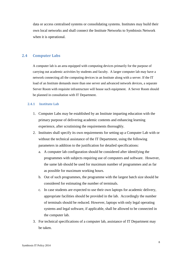data or access centralised systems or consolidating systems. Institutes may build their own local networks and shall connect the Institute Networks to Symbiosis Network when it is operational.

# <span id="page-12-0"></span>**2.4 Computer Labs**

A computer lab is an area equipped with computing devices primarily for the purpose of carrying out academic activities by students and faculty. A larger computer lab may have a network connecting all the computing devices in an Institute along with a server. If the IT load of an Institute demands more than one server and advanced network devices, a separate Server Room with requisite infrastructure will house such equipment. A Server Room should be planned in consultation with IT Department.

#### <span id="page-12-1"></span>**2.4.1 Institute Lab**

- 1. Computer Labs may be established by an Institute imparting education with the primary purpose of delivering academic contents and enhancing learning experience, after scrutinising the requirements thoroughly.
- 2. Institutes shall specify its own requirements for setting up a Computer Lab with or without the technical assistance of the IT Department, using the following parameters in addition to the justification for detailed specifications:
	- a. A computer lab configuration should be considered after identifying the programmes with subjects requiring use of computers and software. However, the same lab should be used for maximum number of programmes and as far as possible for maximum working hours.
	- b. Out of such programmes, the programme with the largest batch size should be considered for estimating the number of terminals.
	- c. In case students are expected to use their own laptops for academic delivery, appropriate facilities should be provided in the lab. Accordingly the number of terminals should be reduced. However, laptops with only legal operating systems and legal software, if applicable, shall be allowed to be connected in the computer lab.
- 3. For technical specifications of a computer lab, assistance of IT Department may be taken.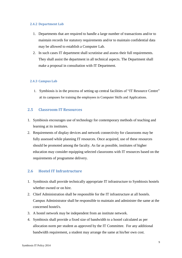#### <span id="page-13-0"></span>**2.4.2 Department Lab**

- 1. Departments that are required to handle a large number of transactions and/or to maintain records for statutory requirements and/or to maintain confidential data may be allowed to establish a Computer Lab.
- 2. In such cases IT department shall scrutinise and assess their full requirements. They shall assist the department in all technical aspects. The Department shall make a proposal in consultation with IT Department.

### <span id="page-13-1"></span>**2.4.3 Campus Lab**

1. Symbiosis is in the process of setting up central facilities of "IT Resource Centre" at its campuses for training the employees in Computer Skills and Applications.

# <span id="page-13-2"></span>**2.5 Classroom IT Resources**

- 1. Symbiosis encourages use of technology for contemporary methods of teaching and learning at its institutes.
- 2. Requirements of display devices and network connectivity for classrooms may be fully assessed while planning IT resources. Once acquired, use of these resources should be promoted among the faculty. As far as possible, institutes of higher education may consider equipping selected classrooms with IT resources based on the requirements of programme delivery.

# <span id="page-13-3"></span>**2.6 Hostel IT Infrastructure**

- 1. Symbiosis shall provide technically appropriate IT infrastructure to Symbiosis hostels whether owned or on hire.
- 2. Chief Administration shall be responsible for the IT infrastructure at all hostels. Campus Administrator shall be responsible to maintain and administer the same at the concerned hostel/s.
- 3. A hostel network may be independent from an institute network.
- 4. Symbiosis shall provide a fixed size of bandwidth to a hostel calculated as per allocation norm per student as approved by the IT Committee. For any additional bandwidth requirement, a student may arrange the same at his/her own cost.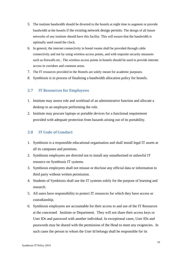- 5. The institute bandwidth should be diverted to the hostels at night time to augment or provide bandwidth at the hostels if the existing network design permits. The design of all future networks of any institute should have this facility. This will ensure that the bandwidth is optimally used round the clock.
- 6. In general, the internet connectivity in hostel rooms shall be provided through cable connectivity and not by using wireless access points, and with requisite security measures such as firewalls etc.. The wireless access points in hostels should be used to provide internet access in corridors and common areas.
- 7. The IT resources provided in the Hostels are solely meant for academic purposes.
- 8. Symbiosis is in process of finalising a bandwidth allocation policy for hostels.

# <span id="page-14-0"></span>**2.7 IT Resources for Employees**

- 1. Institute may assess role and workload of an administrative function and allocate a desktop to an employee performing the role.
- 2. Institute may procure laptops or portable devices for a functional requirement provided with adequate protection from hazards arising out of its portability.

# <span id="page-14-1"></span>**2.8 IT Code of Conduct**

- 1. Symbiosis is a responsible educational organisation and shall install legal IT assets at all its campuses and premises.
- 2. Symbiosis employees are directed not to install any unauthorised or unlawful IT resource on Symbiosis IT systems.
- 3. Symbiosis employees shall not misuse or disclose any official data or information to third party without written permission.
- 4. Students of Symbiosis shall use the IT systems solely for the purpose of learning and research.
- 5. All users have responsibility to protect IT resources for which they have access or custodianship.
- 6. Symbiosis employees are accountable for their access to and use of the IT Resources at the concerned Institute or Department. They will not share their access keys or User IDs and password with another individual. In exceptional cases, User IDs and passwords may be shared with the permission of the Head to meet any exigencies. In such cases the person to whom the User Id belongs shall be responsible for its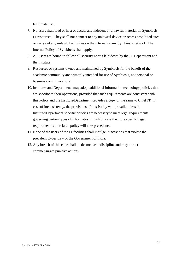legitimate use.

- 7. No users shall load or host or access any indecent or unlawful material on Symbiosis IT resources. They shall not connect to any unlawful device or access prohibited sites or carry out any unlawful activities on the internet or any Symbiosis network. The Internet Policy of Symbiosis shall apply.
- 8. All users are bound to follow all security norms laid down by the IT Department and the Institute.
- 9. Resources or systems owned and maintained by Symbiosis for the benefit of the academic community are primarily intended for use of Symbiosis, not personal or business communications.
- 10. Institutes and Departments may adopt additional information technology policies that are specific to their operations, provided that such requirements are consistent with this Policy and the Institute/Department provides a copy of the same to Chief IT. In case of inconsistency, the provisions of this Policy will prevail, unless the Institute/Department specific policies are necessary to meet legal requirements governing certain types of information, in which case the more specific legal requirements and related policy will take precedence.
- 11. None of the users of the IT facilities shall indulge in activities that violate the prevalent Cyber Law of the Government of India.
- 12. Any breach of this code shall be deemed as indiscipline and may attract commensurate punitive actions.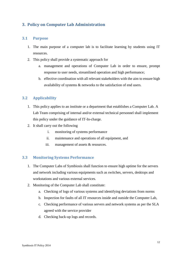# <span id="page-16-0"></span>**3. Policy on Computer Lab Administration**

# <span id="page-16-1"></span>**3.1 Purpose**

- 1. The main purpose of a computer lab is to facilitate learning by students using IT resources.
- 2. This policy shall provide a systematic approach for
	- a. management and operations of Computer Lab in order to ensure, prompt response to user needs, streamlined operation and high performance;
	- b. effective coordination with all relevant stakeholders with the aim to ensure high availability of systems & networks to the satisfaction of end users.

# <span id="page-16-2"></span>**3.2 Applicability**

- 1. This policy applies to an institute or a department that establishes a Computer Lab. A Lab Team comprising of internal and/or external technical personnel shall implement this policy under the guidance of IT-In-charge.
- 2. It shall carry out the following
	- i. monitoring of systems performance
	- ii. maintenance and operations of all equipment, and
	- iii. management of assets & resources.

# <span id="page-16-3"></span>**3.3 Monitoring Systems Performance**

- 1. The Computer Labs of Symbiosis shall function to ensure high uptime for the servers and network including various equipments such as switches, servers, desktops and workstations and various external services.
- 2. Monitoring of the Computer Lab shall constitute:
	- a. Checking of logs of various systems and identifying deviations from norms
	- b. Inspection for faults of all IT resources inside and outside the Computer Lab,
	- c. Checking performance of various servers and network systems as per the SLA agreed with the service provider
	- d. Checking back-up logs and records.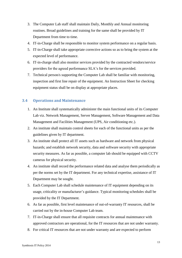- 3. The Computer Lab staff shall maintain Daily, Monthly and Annual monitoring routines. Broad guidelines and training for the same shall be provided by IT Department from time to time.
- 4. IT-in-Charge shall be responsible to monitor system performance on a regular basis.
- 5. IT-in-Charge shall take appropriate corrective actions so as to bring the system at the expected level of performance.
- 6. IT-in-charge shall also monitor services provided by the contracted vendors/service providers for the agreed performance SLA's for the services provided.
- 7. Technical person/s supporting the Computer Lab shall be familiar with monitoring, inspection and first line repair of the equipment. An Instruction Sheet for checking equipment status shall be on display at appropriate places.

# <span id="page-17-0"></span>**3.4 Operations and Maintenance**

- 1. An Institute shall systematically administer the main functional units of its Computer Lab viz. Network Management, Server Management, Software Management and Data Management and Facilities Management (UPS, Air conditioning etc.).
- 2. An institute shall maintain control sheets for each of the functional units as per the guidelines given by IT department.
- 3. An institute shall protect all IT assets such as hardware and network from physical hazards; and establish network security, data and software security with appropriate security measures. As far as possible, a computer lab should be equipped with CCTV cameras for physical security.
- 4. An institute shall record the performance related data and analyse them periodically as per the norms set by the IT department. For any technical expertise, assistance of IT Department may be sought.
- 5. Each Computer Lab shall schedule maintenance of IT equipment depending on its usage, criticality or manufacturer's guidance. Typical monitoring schedules shall be provided by the IT Department.
- 6. As far as possible, first level maintenance of out-of-warranty IT resources, shall be carried out by the in-house Computer Lab team.
- 7. IT-in-Charge shall ensure that all requisite contracts for annual maintenance with approved contractors are operational, for the IT resources that are not under warranty.
- 8. For critical IT resources that are not under warranty and are expected to perform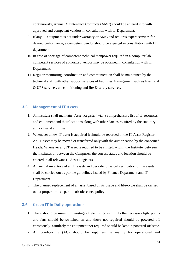continuously, Annual Maintenance Contracts (AMC) should be entered into with approved and competent vendors in consultation with IT Department.

- 9. If any IT equipment is not under warranty or AMC and requires expert services for desired performance, a competent vendor should be engaged in consultation with IT department.
- 10. In case of shortage of competent technical manpower required in a computer lab, competent services of authorized vendor may be obtained in consultation with IT Department.
- 11. Regular monitoring, coordination and communication shall be maintained by the technical staff with other support services of Facilities Management such as Electrical & UPS services, air-conditioning and fire & safety services.

### <span id="page-18-0"></span>**3.5 Management of IT Assets**

- 1. An institute shall maintain "Asset Register" viz. a comprehensive list of IT resources and equipment and their locations along with other data as required by the statutory authorities at all times.
- 2. Whenever a new IT asset is acquired it should be recorded in the IT Asset Register.
- 3. An IT asset may be moved or transferred only with the authorisation by the concerned Heads. Whenever any IT asset is required to be shifted, within the Institute, between the Institutes or between the Campuses, the correct status and location should be entered in all relevant IT Asset Registers.
- 4. An annual inventory of all IT assets and periodic physical verification of the assets shall be carried out as per the guidelines issued by Finance Department and IT Department.
- 5. The planned replacement of an asset based on its usage and life-cycle shall be carried out at proper time as per the obsolescence policy.

### <span id="page-18-1"></span>**3.6 Green IT in Daily operations**

- 1. There should be minimum wastage of electric power. Only the necessary light points and fans should be switched on and those not required should be powered off consciously. Similarly the equipment not required should be kept in powered-off state.
- 2. Air conditioning (AC) should be kept running mainly for operational and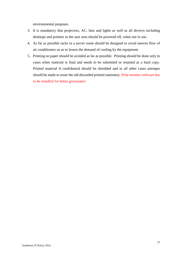environmental purposes.

- 3. It is mandatory that projectors, AC, fans and lights as well as all devices including desktops and printers in the user area should be powered off, when not in use.
- 4. As far as possible racks in a server room should be designed to avoid uneven flow of air conditioners so as to lessen the demand of cooling by the equipment.
- 5. Printing on paper should be avoided as far as possible. Printing should be done only in cases when material is final and needs to be submitted or retained as a hard copy. Printed material if confidential should be shredded and in all other cases attempts should be made to reuse the old discarded printed stationery. Print monitor software has to be installed for better governance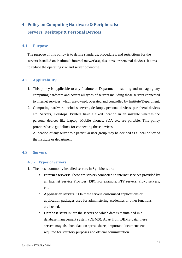# <span id="page-20-1"></span><span id="page-20-0"></span>**4. Policy on Computing Hardware & Peripherals: Servers, Desktops & Personal Devices**

#### <span id="page-20-2"></span>**4.1 Purpose**

The purpose of this policy is to define standards, procedures, and restrictions for the servers installed on institute's internal network(s), desktops or personal devices. It aims to reduce the operating risk and server downtime.

# <span id="page-20-3"></span>**4.2 Applicability**

- 1. This policy is applicable to any Institute or Department installing and managing any computing hardware and covers all types of servers including those servers connected to internet services, which are owned, operated and controlled by Institute/Department.
- 2. Computing hardware includes servers, desktops, personal devices, peripheral devices etc. Servers, Desktops, Printers have a fixed location in an institute whereas the personal devices like Laptop, Mobile phones, PDA etc. are portable. This policy provides basic guidelines for connecting these devices.
- 3. Allocation of any server to a particular user group may be decided as a local policy of the institute or department.

# <span id="page-20-4"></span>**4.3 Servers**

#### <span id="page-20-5"></span>**4.3.2 Types of Servers**

- 1. The most commonly installed servers in Symbiosis are:
	- a. **Internet servers:** These are servers connected to internet services provided by an Internet Service Provider (ISP). For example, FTP servers, Proxy servers, etc.
	- b. **Application servers**. : On these servers customised applications or application packages used for administering academics or other functions are hosted.
	- c. **Database servers:** are the servers on which data is maintained in a database management system (DBMS). Apart from DBMS data, these servers may also host data on spreadsheets, important documents etc. required for statutory purposes and official administration.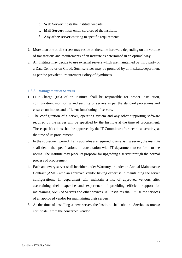- d. **Web Server:** hosts the institute website
- e. **Mail Server:** hosts email services of the institute.
- f. **Any other server** catering to specific requirements.
- 2. More than one or all servers may reside on the same hardware depending on the volume of transactions and requirements of an institute as determined in an optimal way.
- 3. An Institute may decide to use external servers which are maintained by third party or a Data Centre or on Cloud. Such services may be procured by an Institute/department as per the prevalent Procurement Policy of Symbiosis.

#### <span id="page-21-0"></span>**4.3.3 Management of Servers**

- 1. IT-in-Charge (IIC) of an institute shall be responsible for proper installation, configuration, monitoring and security of servers as per the standard procedures and ensure continuous and efficient functioning of servers.
- 2. The configuration of a server, operating system and any other supporting software required by the server will be specified by the Institute at the time of procurement. These specifications shall be approved by the IT Committee after technical scrutiny, at the time of its procurement.
- 3. In the subsequent period if any upgrades are required to an existing server, the institute shall detail the specifications in consultation with IT department to conform to the norms. The institute may place its proposal for upgrading a server through the normal process of procurement.
- 4. Each and every server shall be either under Warranty or under an Annual Maintenance Contract (AMC) with an approved vendor having expertise in maintaining the server configurations. IT department will maintain a list of approved vendors after ascertaining their expertise and experience of providing efficient support for maintaining AMC of Servers and other devices. All institutes shall utilise the services of an approved vendor for maintaining their servers.
- 5. At the time of installing a new server, the Institute shall obtain "Service assurance certificate" from the concerned vendor.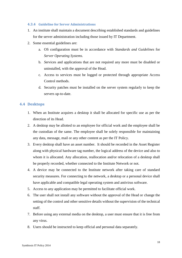#### <span id="page-22-0"></span>**4.3.4 Guideline for Server Administrations**

- 1. An institute shall maintain a document describing established standards and guidelines for the server administration including those issued by IT Department.
- 2. Some essential guidelines are:
	- a. OS configuration must be in accordance with *Standards and Guidelines* for *Server Operating Systems.*
	- b. *S*ervices and applications that are not required any more must be disabled or uninstalled, with the approval of the Head.
	- c. Access to services must be logged or protected through appropriate Access Control methods.
	- d. Security patches must be installed on the server system regularly to keep the servers up-to-date.

### <span id="page-22-1"></span>**4.4 Desktops**

- 1. When an Institute acquires a desktop it shall be allocated for specific use as per the direction of its Head.
- 2. A desktop may be allotted to an employee for official work and the employee shall be the custodian of the same. The employee shall be solely responsible for maintaining any data, message, mail or any other content as per the IT Policy.
- 3. Every desktop shall have an asset number. It should be recorded in the Asset Register along with physical hardware tag number, the logical address of the device and also to whom it is allocated. Any allocation, reallocation and/or relocation of a desktop shall be properly recorded, whether connected to the Institute Network or not.
- 4. A device may be connected to the Institute network after taking care of standard security measures. For connecting to the network, a desktop or a personal device shall have applicable and compatible legal operating system and antivirus software.
- 5. Access to any application may be permitted to facilitate official work.
- 6. The user shall not install any software without the approval of the Head or change the setting of the control and other sensitive details without the supervision of the technical staff.
- 7. Before using any external media on the desktop, a user must ensure that it is free from any virus.
- 8. Users should be instructed to keep official and personal data separately.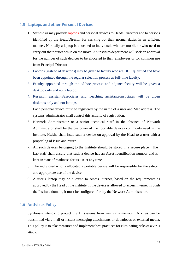# <span id="page-23-0"></span>**4.5 Laptops and other Personal Devices**

- 1. Symbiosis may provide laptops and personal devices to Heads/Directors and to persons identified by the Head/Director for carrying out their normal duties in an efficient manner. Normally a laptop is allocated to individuals who are mobile or who need to carry out their duties while on the move. An institute/department will seek an approval for the number of such devices to be allocated to their employees or for common use from Principal Director.
- 2. Laptops (instead of desktops) may be given to faculty who are UGC qualified and have been appointed through the regular selection process as full-time faculty.
- 3. Faculty appointed through the ad-hoc process and adjunct faculty will be given a desktop only and not a laptop.
- 4. Research assistants/associates and Teaching assistants/associates will be given desktops only and not laptops.
- 5. Each personal device must be registered by the name of a user and Mac address. The systems administrator shall control this activity of registration.
- 6. Network Administrator or a senior technical staff in the absence of Network Administrator shall be the custodian of the portable devices commonly used in the Institute. He/she shall issue such a device on approval by the Head to a user with a proper log of issue and return.
- 7. All such devices belonging to the Institute should be stored in a secure place. The Lab staff shall ensure that such a device has an Asset Identification number and is kept in state of readiness for its use at any time.
- 8. The individual who is allocated a portable device will be responsible for the safety and appropriate use of the device.
- 9. A user's laptop may be allowed to access internet, based on the requirements as approved by the Head of the institute. If the device is allowed to access internet through the Institute domain, it must be configured for, by the Network Administrator.

# <span id="page-23-1"></span>**4.6 Antivirus Policy**

Symbiosis intends to protect the IT systems from any virus menace. A virus can be transmitted via e-mail or instant messaging attachments or downloads or external media. This policy is to take measures and implement best practices for eliminating risks of a virus attack.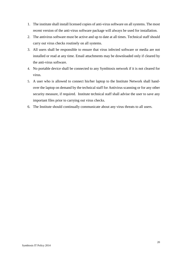- 1. The institute shall install licensed copies of anti-virus software on all systems. The most recent version of the anti-virus software package will always be used for installation.
- 2. The antivirus software must be active and up to date at all times. Technical staff should carry out virus checks routinely on all systems.
- 3. All users shall be responsible to ensure that virus infected software or media are not installed or read at any time. Email attachments may be downloaded only if cleared by the anti-virus software.
- 4. No portable device shall be connected to any Symbiosis network if it is not cleared for virus.
- 5. A user who is allowed to connect his/her laptop to the Institute Network shall handover the laptop on demand by the technical staff for Antivirus scanning or for any other security measure, if required. Institute technical staff shall advise the user to save any important files prior to carrying out virus checks.
- 6. The Institute should continually communicate about any virus threats to all users.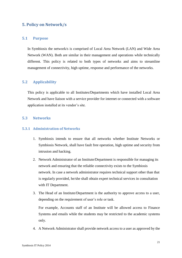# <span id="page-25-0"></span>**5. Policy on Network/s**

#### <span id="page-25-1"></span>**5.1 Purpose**

In Symbiosis the network/s is comprised of Local Area Network (LAN) and Wide Area Network (WAN). Both are similar in their management and operations while technically different. This policy is related to both types of networks and aims to streamline management of connectivity, high uptime, response and performance of the networks.

# <span id="page-25-2"></span>**5.2 Applicability**

This policy is applicable to all Institutes/Departments which have installed Local Area Network and have liaison with a service provider for internet or connected with a software application installed at its vendor's site.

### <span id="page-25-3"></span>**5.3 Networks**

#### <span id="page-25-4"></span>**5.3.1 Administration of Networks**

- 1. Symbiosis intends to ensure that all networks whether Institute Networks or Symbiosis Network, shall have fault free operation, high uptime and security from intrusion and hacking.
- 2. Network Administrator of an Institute/Department is responsible for managing its network and ensuring that the reliable connectivity exists to the Symbiosis network. In case a network administrator requires technical support other than that is regularly provided, he/she shall obtain expert technical services in consultation with IT Department.
- 3. The Head of an Institute/Department is the authority to approve access to a user, depending on the requirement of user's role or task.

For example, Accounts staff of an Institute will be allowed access to Finance Systems and emails while the students may be restricted to the academic systems only.

4. A Network Administrator shall provide network access to a user as approved by the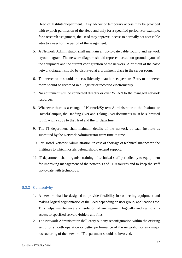Head of Institute/Department. Any ad-hoc or temporary access may be provided with explicit permission of the Head and only for a specified period. For example, for a research assignment, the Head may approve access to normally not accessible sites to a user for the period of the assignment.

- 5. A Network Administrator shall maintain an up-to-date cable routing and network layout diagram. The network diagram should represent actual on-ground layout of the equipment and the current configuration of the network. A printout of the basic network diagram should be displayed at a prominent place in the server room.
- 6. The server room should be accessible only to authorised persons. Entry to the server room should be recorded in a Register or recorded electronically.
- 7. No equipment will be connected directly or over WLAN to the managed network resources.
- 8. Whenever there is a change of Network/System Administrator at the Institute or Hostel/Campus, the Handing Over and Taking Over documents must be submitted to IIC with a copy to the Head and the IT department.
- 9. The IT department shall maintain details of the network of each institute as submitted by the Network Administrator from time to time.
- 10. For Hostel Network Administration, in case of shortage of technical manpower, the Institutes to which hostels belong should extend support.
- 11. IT department shall organise training of technical staff periodically to equip them for improving management of the networks and IT resources and to keep the staff up-to-date with technology.

#### <span id="page-26-0"></span>**5.3.2 Connectivity**

- 1. A network shall be designed to provide flexibility in connecting equipment and making logical segmentation of the LAN depending on user group, applications etc. This helps maintenance and isolation of any segment logically and restricts its access to specified servers /folders and files.
- 2. The Network Administrator shall carry out any reconfiguration within the existing setup for smooth operation or better performance of the network. For any major restructuring of the network, IT department should be involved.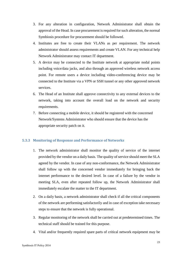- 3. For any alteration in configuration, Network Administrator shall obtain the approval of the Head. In case procurement is required for such alteration, the normal Symbiosis procedure for procurement should be followed.
- 4. Institutes are free to create their VLANs as per requirement. The network administrator should assess requirements and create VLAN. For any technical help Network Administrator may contact IT department.
- 5. A device may be connected to the Institute network at appropriate nodal points including voice/data jacks, and also through an approved wireless network access point. For remote users a device including video-conferencing device may be connected to the Institute via a VPN or SSH tunnel or any other approved network services.
- 6. The Head of an Institute shall approve connectivity to any external devices to the network, taking into account the overall load on the network and security requirements.
- 7. Before connecting a mobile device, it should be registered with the concerned Network/Systems Administrator who should ensure that the device has the appropriate security patch on it.

#### <span id="page-27-0"></span>**5.3.3 Monitoring of Response and Performance of Networks**

- 1. The network administrator shall monitor the quality of service of the internet provided by the vendor on a daily basis. The quality of service should meet the SLA agreed by the vendor. In case of any non-conformance, the Network Administrator shall follow up with the concerned vendor immediately for bringing back the internet performance to the desired level. In case of a failure by the vendor in meeting SLA, even after repeated follow up, the Network Administrator shall immediately escalate the matter to the IT department.
- 2. On a daily basis, a network administrator shall check if all the critical components of the network are performing satisfactorily and in case of exception take necessary steps to ensure that the network is fully operational.
- 3. Regular monitoring of the network shall be carried out at predetermined times. The technical staff should be trained for this purpose.
- 4. Vital and/or frequently required spare parts of critical network equipment may be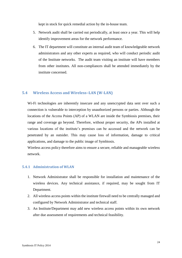kept in stock for quick remedial action by the in-house team.

- 5. Network audit shall be carried out periodically, at least once a year. This will help identify improvement areas for the network performance.
- 6. The IT department will constitute an internal audit team of knowledgeable network administrators and any other experts as required, who will conduct periodic audit of the Institute networks. The audit team visiting an institute will have members from other institutes. All non-compliances shall be attended immediately by the institute concerned.

### <span id="page-28-0"></span>**5.4 Wireless Access and Wireless–LAN (W-LAN)**

Wi-Fi technologies are inherently insecure and any unencrypted data sent over such a connection is vulnerable to interception by unauthorized persons or parties. Although the locations of the Access Points (AP) of a WLAN are inside the Symbiosis premises, their range and coverage go beyond. Therefore, without proper security, the APs installed at various locations of the institute's premises can be accessed and the network can be penetrated by an outsider. This may cause loss of information, damage to critical applications, and damage to the public image of Symbiosis.

Wireless access policy therefore aims to ensure a secure, reliable and manageable wireless network.

# <span id="page-28-1"></span>**5.4.1 Administration of WLAN**

- 1. Network Administrator shall be responsible for installation and maintenance of the wireless devices. Any technical assistance, if required, may be sought from IT Department.
- 2. All wireless access points within the institute firewall need to be centrally managed and configured by Network Administrator and technical staff.
- 3. An Institute/Department may add new wireless access points within its own network after due assessment of requirements and technical feasibility.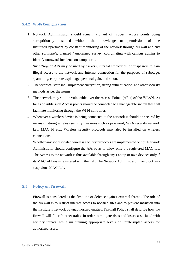#### <span id="page-29-0"></span>**5.4.2 Wi-Fi Configuration**

1. Network Administrator should remain vigilant of "rogue" access points being surreptitiously installed without the knowledge or permission of the Institute/Department by constant monitoring of the network through firewall and any other software/s, planned / unplanned survey, coordinating with campus admins to identify untoward incidents on campus etc.

Such "rogue" APs may be used by hackers, internal employees, or trespassers to gain illegal access to the network and Internet connection for the purposes of sabotage, spamming, corporate espionage, personal gain, and so on.

- 2. The technical staff shall implement encryption, strong authentication, and other security methods as per the norms.
- 3. The network may still be vulnerable over the Access Points (AP's) of the WLAN. As far as possible such Access points should be connected to a manageable switch that will facilitate monitoring through the Wi Fi controller.
- 4. Whenever a wireless device is being connected to the network it should be secured by means of strong wireless security measures such as password, WPA security network key, MAC Id etc.. Wireless security protocols may also be installed on wireless connections.
- 5. Whether any sophisticated wireless security protocols are implemented or not, Network Administrator should configure the APs so as to allow only the registered MAC Ids. The Access to the network is thus available through any Laptop or own devices only if its MAC address is registered with the Lab. The Network Administrator may block any suspicious MAC Id's.

#### <span id="page-29-1"></span>**5.5 Policy on Firewall**

Firewall is considered as the first line of defence against external threats. The role of the firewall is to restrict internet access to notified sites and to prevent intrusion into the institute's network by unauthorized entities. Firewall Policy shall describe how the firewall will filter Internet traffic in order to mitigate risks and losses associated with security threats, while maintaining appropriate levels of uninterrupted access for authorized users.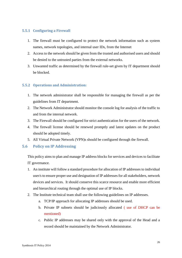# <span id="page-30-0"></span>**5.5.1 Configuring a Firewall**

- 1. The firewall must be configured to protect the network information such as system names, network topologies, and internal user IDs, from the Internet
- 2. Access to the network should be given from the trusted and authorised users and should be denied to the untrusted parties from the external networks.
- 3. Unwanted traffic as determined by the firewall rule-set given by IT department should be blocked.

# <span id="page-30-1"></span>**5.5.2 Operations and Administration:**

- 1. The network administrator shall be responsible for managing the firewall as per the guidelines from IT department.
- 2. The Network Administrator should monitor the console log for analysis of the traffic to and from the internal network.
- 3. The Firewall should be configured for strict authentication for the users of the network.
- 4. The firewall license should be renewed promptly and latest updates on the product should be adopted timely.
- 5. All Virtual Private Network (VPN)s should be configured through the firewall.

#### <span id="page-30-2"></span>**5.6 Policy on IP Addressing**

This policy aims to plan and manage IP address blocks for services and devices to facilitate IT governance.

- 1. An institute will follow a standard procedure for allocation of IP addresses to individual user/s to ensure proper use and designation of IP addresses for all stakeholders, network devices and services. It should conserve this scarce resource and enable more efficient and hierarchical routing through the optimal use of IP blocks.
- 2. The Institute technical team shall use the following guidelines on IP addresses.
	- a. TCP/IP approach for allocating IP addresses should be used.
	- b. Private IP subnets should be judiciously allocated ( use of DHCP can be mentioned)
	- c. Public IP addresses may be shared only with the approval of the Head and a record should be maintained by the Network Administrator.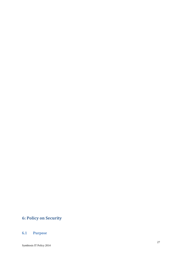# <span id="page-31-0"></span>**6: Policy on Security**

# <span id="page-31-1"></span>**6.1 Purpose**

Symbiosis IT Policy 2014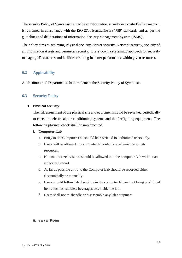The security Policy of Symbiosis is to achieve information security in a cost-effective manner. It is framed in consonance with the ISO 27001(erstwhile BS7799) standards and as per the guidelines and deliberations of Information Security Management System (ISMS).

The policy aims at achieving Physical security, Server security, Network security, security of all Information Assets and perimeter security. It lays down a systematic approach for securely managing IT resources and facilities resulting in better performance within given resources.

# <span id="page-32-0"></span>**6.2 Applicability**

All Institutes and Departments shall implement the Security Policy of Symbiosis.

### <span id="page-32-1"></span>**6.3 Security Policy**

#### **1. Physical security**:

The risk assessment of the physical site and equipment should be reviewed periodically to check the electrical, air conditioning systems and the firefighting equipment. The following physical check shall be implemented.

#### **i. Computer Lab**

- a. Entry to the Computer Lab should be restricted to authorized users only.
- b. Users will be allowed in a computer lab only for academic use of lab resources.
- c. No unauthorized visitors should be allowed into the computer Lab without an authorized escort.
- d. As far as possible entry to the Computer Lab should be recorded either electronically or manually.
- e. Users should follow lab discipline in the computer lab and not bring prohibited items such as eatables, beverages etc. inside the lab.
- f. Users shall not mishandle or disassemble any lab equipment.

#### **ii. Server Room**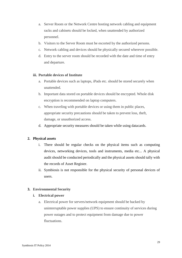- a. Server Room or the Network Centre hosting network cabling and equipment racks and cabinets should be locked, when unattended by authorized personnel.
- b. Visitors to the Server Room must be escorted by the authorized persons.
- c. Network cabling and devices should be physically secured wherever possible.
- d. Entry to the server room should be recorded with the date and time of entry and departure.

#### **iii. Portable devices of Institute**

- a. Portable devices such as laptops, iPads etc. should be stored securely when unattended.
- b. Important data stored on portable devices should be encrypted. Whole disk encryption is recommended on laptop computers.
- c. When traveling with portable devices or using them in public places, appropriate security precautions should be taken to prevent loss, theft, damage, or unauthorized access.
- d. Appropriate security measures should be taken while using datacards.

#### **2. Physical assets**

- i. There should be regular checks on the physical items such as computing devices, networking devices, tools and instruments, media etc... A physical audit should be conducted periodically and the physical assets should tally with the records of Asset Register.
- ii. Symbiosis is not responsible for the physical security of personal devices of users.

#### **3. Environmental Security**

#### **i. Electrical power**

a. Electrical power for servers/network equipment should be backed by uninterruptable power supplies (UPS) to ensure continuity of services during power outages and to protect equipment from damage due to power fluctuations.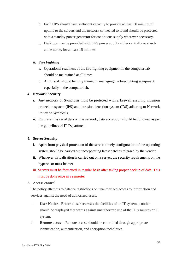- b. Each UPS should have sufficient capacity to provide at least 30 minutes of uptime to the servers and the network connected to it and should be protected with a standby power generator for continuous supply wherever necessary.
- c. Desktops may be provided with UPS power supply either centrally or standalone mode, for at least 15 minutes.
- **ii. Fire Fighting**
	- a. Operational readiness of the fire-fighting equipment in the computer lab should be maintained at all times.
	- b. All IT staff should be fully trained in managing the fire-fighting equipment, especially in the computer lab.

### **4. Network Security**

- i. Any network of Symbiosis must be protected with a firewall ensuring intrusion protection system (IPS) and intrusion detection system (IDS) adhering to Network Policy of Symbiosis.
- ii. For transmission of data on the network, data encryption should be followed as per the guidelines of IT Department.

# **5. Server Security**

- i. Apart from physical protection of the server, timely configuration of the operating system should be carried out incorporating latest patches released by the vendor.
- ii. Whenever virtualisation is carried out on a server, the security requirements on the hypervisor must be met.
- iii. Servers must be formatted in regular basis after taking proper backup of data. This must be done once in a semester

#### **6. Access control**

The policy attempts to balance restrictions on unauthorized access to information and services against the need of authorized users.

- i. **User Notice** Before a user accesses the facilities of an IT system, a notice should be displayed that warns against unauthorized use of the IT resources or IT system.
- ii. **Remote access** Remote access should be controlled through appropriate identification, authentication, and encryption techniques.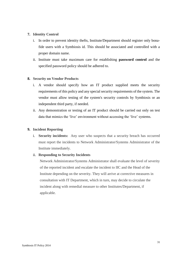### **7. Identity Control**

- i. In order to prevent identity thefts, Institute/Department should register only bonafide users with a Symbiosis id. This should be associated and controlled with a proper domain name.
- ii. Institute must take maximum care for establishing **password control** and the specified password policy should be adhered to.

### **8. Security on Vendor Products**

- i. A vendor should specify how an IT product supplied meets the security requirements of this policy and any special security requirements of the system. The vendor must allow testing of the system's security controls by Symbiosis or an independent third party, if needed.
- ii. Any demonstration or testing of an IT product should be carried out only on test data that mimics the 'live' environment without accessing the 'live' systems.

#### **9. Incident Reporting**

i. **Security incidents:** Any user who suspects that a security breach has occurred must report the incidents to Network Administrator/Systems Administrator of the Institute immediately.

#### ii. **Responding to Security Incidents**

Network Administrator/Systems Administrator shall evaluate the level of severity of the reported incident and escalate the incident to IIC and the Head of the Institute depending on the severity. They will arrive at corrective measures in consultation with IT Department, which in turn, may decide to circulate the incident along with remedial measure to other Institutes/Department, if applicable.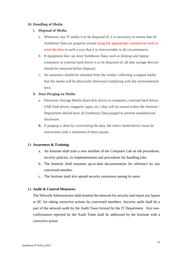#### **10. Handling of Media**

### **i. Disposal of Media**

- a. Whenever any IT media is to be disposed of, it is necessary to ensure that all Symbiosis Data are properly erased using the appropriate commercial tools to erase the data in such a way that it is irrecoverable in all circumstances.
- b. If equipment that can store Symbiosis Data, such as desktop and laptop computers or external hard drives is to be disposed of, all data storage devices should be removed before disposal.
- c. An assurance should be obtained from the vendor collecting scrapped media that the media will be physically destroyed complying with the environmental laws.

### **ii. Data Purging on Media**

- a. Electronic Storage Media (hard disk drives in computers, external hard drives, USB flash drives, magnetic tapes, etc.) that will be reused within the Institute / Department should have all Symbiosis Data purged to prevent unauthorized disclosure.
- **b.** If purging is done by overwriting the data, the *entire media/device* must be overwritten with a minimum of three passes.

# **11. Awareness & Training**:

- a. An Institute shall train a new member of the Computer Lab on lab procedures, security policies, its implementation and procedures for handling jobs.
- b. The Institute shall maintain up-to-date documentation for reference by any concerned member.
- c. The Institute shall also spread security awareness among its users.

#### **12. Audit & Control Measures**:

The Network Administrator shall monitor the network for security and report any lapses to IIC for taking corrective actions by concerned members. Security audit shall be a part of the network audit by the Audit Team formed by the IT Department. Any nonconformance reported by the Audit Team shall be addressed by the Institute with a corrective action.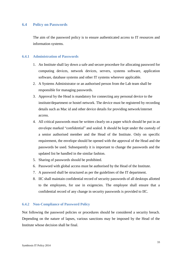#### <span id="page-37-0"></span>**6.4 Policy on Passwords**

The aim of the password policy is to ensure authenticated access to IT resources and information systems.

#### <span id="page-37-1"></span>**6.4.1 Administration of Passwords**

- 1. An Institute shall lay down a safe and secure procedure for allocating password for computing devices, network devices, servers, systems software, application software, database systems and other IT systems wherever applicable.
- 2. A Systems Administrator or an authorised person from the Lab team shall be responsible for managing passwords.
- 3. Approval by the Head is mandatory for connecting any personal device to the institute/department or hostel network. The device must be registered by recording details such as Mac id and other device details for providing network/internet access.
- 4. All critical passwords must be written clearly on a paper which should be put in an envelope marked "confidential" and sealed. It should be kept under the custody of a senior authorised member and the Head of the Institute. Only on specific requirement, the envelope should be opened with the approval of the Head and the passwords be used. Subsequently it is important to change the passwords and the updated list be handled in the similar fashion.
- 5. Sharing of passwords should be prohibited.
- 6. Password with global access must be authorised by the Head of the Institute.
- 7. A password shall be structured as per the guidelines of the IT department.
- 8. IIC shall maintain confidential record of security passwords of all desktops allotted to the employees, for use in exigencies. The employee shall ensure that a confidential record of any change in security passwords is provided to IIC.

#### <span id="page-37-2"></span>**6.4.2 Non-Compliance of Password Policy**

Not following the password policies or procedures should be considered a security breach. Depending on the nature of lapses, various sanctions may be imposed by the Head of the Institute whose decision shall be final.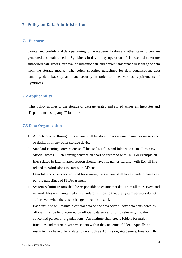# <span id="page-38-0"></span>**7. Policy on Data Administration**

### <span id="page-38-1"></span>**7.1 Purpose**

Critical and confidential data pertaining to the academic bodies and other stake holders are generated and maintained at Symbiosis in day-to-day operations. It is essential to ensure authorised data access, retrieval of authentic data and prevent any breach or leakage of data from the storage media. The policy specifies guidelines for data organisation, data handling, data back-up and data security in order to meet various requirements of Symbiosis.

# <span id="page-38-2"></span>**7.2 Applicability**

This policy applies to the storage of data generated and stored across all Institutes and Departments using any IT facilities.

#### <span id="page-38-3"></span>**7.3 Data Organisation**

- 1. All data created through IT systems shall be stored in a systematic manner on servers or desktops or any other storage device.
- 2. Standard Naming conventions shall be used for files and folders so as to allow easy official access. Such naming convention shall be recorded with IIC. For example all files related to Examination section should have file names starting with EX; all file related to Admissions to start with AD etc..
- 3. Data folders on servers required for running the systems shall have standard names as per the guidelines of IT Department.
- 4. System Administrators shall be responsible to ensure that data from all the servers and network files are maintained in a standard fashion so that the system services do not suffer even when there is a change in technical staff.
- 5. Each institute will maintain official data on the data server. Any data considered as official must be first recorded on official data server prior to releasing it to the concerned person or organizations. An Institute shall create folders for major functions and maintain year-wise data within the concerned folder. Typically an institute may have official data folders such as Admission, Academics, Finance, HR,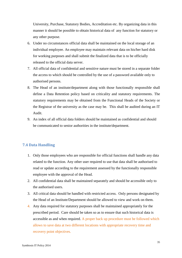University, Purchase, Statutory Bodies, Accreditation etc. By organizing data in this manner it should be possible to obtain historical data of any function for statutory or any other purpose.

- 6. Under no circumstances official data shall be maintained on the local storage of an individual employee. An employee may maintain relevant data on his/her hard disk for working purposes and shall submit the finalized data that is to be officially released to the official data server.
- 7. All official data of confidential and sensitive nature must be stored in a separate folder the access to which should be controlled by the use of a password available only to authorised persons.
- 8. The Head of an institute/department along with those functionally responsible shall define a Data Retention policy based on criticality and statutory requirements. The statutory requirements may be obtained from the Functional Heads of the Society or the Registrar of the university as the case may be. This shall be audited during an IT Audit.
- 9. An index of all official data folders should be maintained as confidential and should be communicated to senior authorities in the institute/department.

# <span id="page-39-0"></span>**7.4 Data Handling**

- 1. Only those employees who are responsible for official functions shall handle any data related to the function. Any other user required to use that data shall be authorised to read or update according to the requirement assessed by the functionally responsible employee with the approval of the Head.
- 2. All confidential data shall be maintained separately and should be accessible only to the authorised users.
- 3. All critical data should be handled with restricted access. Only persons designated by the Head of an Institute/Department should be allowed to view and work on them.
- 4. Any data required for statutory purposes shall be maintained appropriately for the prescribed period. Care should be taken so as to ensure that such historical data is accessible as and when required. A proper back up procedure must be followed which allows to save data at two different locations with appropriate recovery time and recovery point objectives.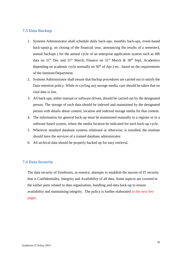# <span id="page-40-0"></span>**7.5 Data Backup**

- 1. Systems Administrator shall schedule daily back-ups, monthly back-ups, event-based back-ups(e.g. on closing of the financial year, announcing the results of a semester), annual backups ( for the annual cycle of an enterprise application system such as HR data on  $31<sup>st</sup>$  Dec and  $31<sup>st</sup>$  March, Finance on  $31<sup>st</sup>$  March &  $30<sup>th</sup>$  Sept, Academics depending on academic cycle normally on  $30<sup>th</sup>$  of Apr.) etc.. based on the requirements of the Institute/Department.
- 2. Systems Administrator shall ensure that backup procedures are carried out to satisfy the Data retention policy. While re-cycling any storage media, care should be taken that no vital data is lost.
- 3. All back-ups, either manual or software driven, should be carried out by the designated person. The storage of such data should be indexed and maintained by the designated person with details about content, location and indexed storage media for that content.
- 4. The information for general back-up must be maintained manually in a register or in a software based system, where the media location be indicated for each back-up cycle.
- 5. Wherever standard database systems relational or otherwise, is installed, the institute should have the services of a trained database administrator.
- 6. All archival data should be properly backed up for easy retrieval.

# <span id="page-40-1"></span>**7.6 Data Security**

The data security of Symbiosis, in essence, attempts to establish the maxim of IT security that is Confidentiality, Integrity and Availability of all data. Some aspects are covered in the earlier parts related to data organisation, handling and data back-up to ensure availability and maintaining integrity. The policy is further elaborated in the next few pages.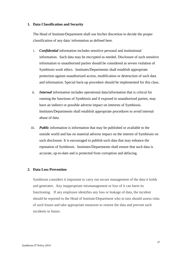#### **1. Data Classification and Security**

The Head of Institute/Department shall use his/her discretion to decide the proper classification of any data/ information as defined here.

- i. *Confidential* information includes sensitive personal and institutional information. Such data may be encrypted as needed. Disclosure of such sensitive information to unauthorised parties should be considered as severe violation of Symbiosis work ethics. Institutes/Departments shall establish appropriate protection against unauthorized access, modification or destruction of such data and information. Special back-up procedure should be implemented for this class.
- ii. *Internal* information includes operational data/information that is critical for running the functions of Symbiosis and if exposed to unauthorized parties, may have an indirect or possible adverse impact on interests of Symbiosis. Institutes/Departments shall establish appropriate procedures to avoid internal abuse of data.
- iii. *Public* information is information that may be published or available to the outside world and has no material adverse impact on the interest of Symbiosis on such disclosure. It is encouraged to publish such data that may enhance the reputation of Symbiosis. Institutes/Departments shall ensure that such data is accurate, up-to-date and is protected from corruption and defacing.

#### **2. Data Loss Prevention**

Symbiosis considers it important to carry out secure management of the data it holds and generates. Any inappropriate mismanagement or loss of it can harm its functioning. If any employee identifies any loss or leakage of data, the incident should be reported to the Head of Institute/Department who in turn should assess risks of such losses and take appropriate measures to restore the data and prevent such incidents in future.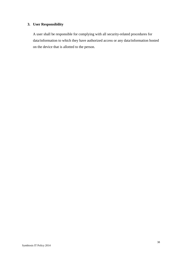# **3. User Responsibility**

A user shall be responsible for complying with all security-related procedures for data/information to which they have authorized access or any data/information hosted on the device that is allotted to the person.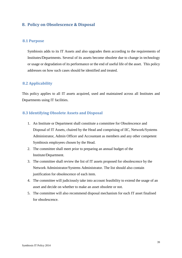# <span id="page-43-0"></span>**8. Policy on Obsolescence & Disposal**

#### <span id="page-43-1"></span>**8.1 Purpose**

Symbiosis adds to its IT Assets and also upgrades them according to the requirements of Institutes/Departments. Several of its assets become obsolete due to change in technology or usage or degradation of its performance or the end of useful life of the asset. This policy addresses on how such cases should be identified and treated.

# <span id="page-43-2"></span>**8.2 Applicability**

This policy applies to all IT assets acquired, used and maintained across all Institutes and Departments using IT facilities.

### <span id="page-43-3"></span>**8.3 Identifying Obsolete Assets and Disposal**

- 1. An Institute or Department shall constitute a committee for Obsolescence and Disposal of IT Assets, chaired by the Head and comprising of IIC, Network/Systems Administrator, Admin Officer and Accountant as members and any other competent Symbiosis employees chosen by the Head.
- 2. The committee shall meet prior to preparing an annual budget of the Institute/Department.
- 3. The committee shall review the list of IT assets proposed for obsolescence by the Network Administrator/Systems Administrator. The list should also contain justification for obsolescence of each item.
- 4. The committee will judiciously take into account feasibility to extend the usage of an asset and decide on whether to make an asset obsolete or not.
- 5. The committee will also recommend disposal mechanism for each IT asset finalised for obsolescence.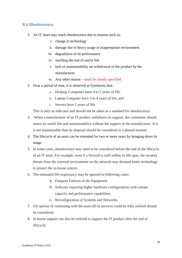# <span id="page-44-0"></span>**8.4 Obsolescence**

- 1. An IT asset may reach obsolescence due to reasons such as:
	- i. change in technology
	- ii. damage due to heavy usage or inappropriate environment
	- iii. degradation of its performance
	- iv. reaching the end of useful life
	- v. lack of maintainability on withdrawal of the product by the manufacturer
	- vi. Any other reason must be clearly specified
- 2. Over a period of time, it is observed at Symbiosis that:
	- a. Desktop Computers have 4 to 5 years of life,
	- b. Laptop Computer have 3 to 4 years of life, and
	- c. Servers have 5 years of life.

This is only an indicator and should not be taken as a standard for obsolescence.

- 3. When a manufacturer of an IT product withdraws its support, the committee should assess its useful life and maintainability without the support of the manufacturer. If it is not maintainable then its disposal should be considered in a phased manner.
- 4. The lifecycle of an asset can be extended for two or more years by bringing down its usage.
- 5. In some cases, obsolescence may need to be considered before the end of the lifecycle of an IT asset. For example, even if a firewall is well within its life span, the security threats from the external environment on the network may demand better technology to protect the in-house system.
- 6. The estimated life expectancy may be ignored in following cases:
	- a. Frequent Failures of the Equipment.
	- b. Software requiring higher hardware configurations with certain capacity and performance capabilities.
	- c. Reconfiguration of Systems and Networks.
- 7. All options of continuing with the asset till its services could be fully utilised should be considered.
- 8. In-house support can also be utilized to support the IT product after the end of lifecycle.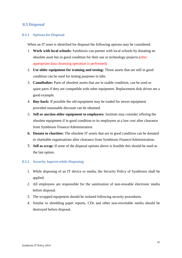# <span id="page-45-0"></span>**8.5 Disposal**

#### <span id="page-45-1"></span>**8.5.1 Options for Disposal**

When an IT asset is identified for disposal the following options may be considered.

- 1. **Work with local schools:** Symbiosis can partner with local schools by donating an obsolete asset but in good condition for their use or technology projects.(after appropriate data cleansing operation is performed)
- 2. **Use older equipment for training and testing:** Those assets that are still in good condition can be used for testing purposes in labs.
- 3. **Cannibalize:** Parts of obsolete assets that are in usable condition, can be used as spare parts if they are compatible with other equipment. Replacement disk drives are a good example.
- 4. **Buy-back:** If possible the old equipment may be traded for newer equipment provided reasonable discount can be obtained.
- 5. **Sell or auction older equipment to employees:** Institute may consider offering the obsolete equipment if in good condition to its employees at a low cost after clearance from Symbiosis Finance/Administration.
- **6. Donate to charities:** The obsolete IT assets that are in good condition can be donated to charitable organisations after clearance from Symbiosis Finance/Administration.
- **7. Sell as scrap:** If none of the disposal options above is feasible this should be used as the last option.

#### <span id="page-45-2"></span>**8.5.2 Security Aspects while Disposing**

- 1. While disposing of an IT device or media, the Security Policy of Symbiosis shall be applied.
- 2. All employees are responsible for the sanitization of non-reusable electronic media before disposal.
- 3. The scrapped equipment should be isolated following security procedures.
- 4. Similar to shredding paper reports, CDs and other non-rewritable media should be destroyed before disposal.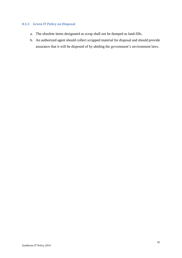# <span id="page-46-0"></span>**8.5.3 Green IT Policy on Disposal**

- a. The obsolete items designated as scrap shall not be dumped as land-fills.
- b. An authorized agent should collect scrapped material for disposal and should provide assurance that it will be disposed of by abiding the government's environment laws.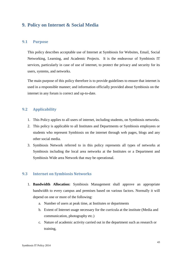# <span id="page-47-0"></span>**9. Policy on Internet & Social Media**

#### <span id="page-47-1"></span>**9.1 Purpose**

This policy describes acceptable use of Internet at Symbiosis for Websites, Email, Social Networking, Learning, and Academic Projects. It is the endeavour of Symbiosis IT services, particularly in case of use of internet, to protect the privacy and security for its users, systems, and networks.

The main purpose of this policy therefore is to provide guidelines to ensure that internet is used in a responsible manner; and information officially provided about Symbiosis on the internet in any forum is correct and up-to-date.

# <span id="page-47-2"></span>**9.2 Applicability**

- 1. This Policy applies to all users of internet, including students, on Symbiosis networks.
- 2. This policy is applicable to all Institutes and Departments or Symbiosis employees or students who represent Symbiosis on the internet through web pages, blogs and any other social media.
- 3. Symbiosis Network referred to in this policy represents all types of networks at Symbiosis including the local area networks at the Institutes or a Department and Symbiosis Wide area Network that may be operational.

# <span id="page-47-3"></span>**9.3 Internet on Symbiosis Networks**

- 1. **Bandwidth Allocation:** Symbiosis Management shall approve an appropriate bandwidth to every campus and premises based on various factors. Normally it will depend on one or more of the following:
	- a. Number of users at peak time, at Institutes or departments
	- b. Extent of Internet usage necessary for the curricula at the institute (Media and communication, photography etc.)
	- c. Nature of academic activity carried out in the department such as research or training,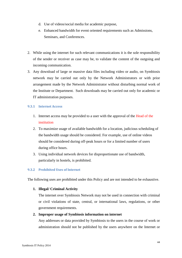- d. Use of videos/social media for academic purpose,
- e. Enhanced bandwidth for event oriented requirements such as Admissions, Seminars, and Conferences.
- 2. While using the internet for such relevant communications it is the sole responsibility of the sender or receiver as case may be, to validate the content of the outgoing and incoming communication.
- 3. Any download of large or massive data files including video or audio, on Symbiosis network may be carried out only by the Network Administrators or with prior arrangement made by the Network Administrator without disturbing normal work of the Institute or Department. Such downloads may be carried out only for academic or IT administration purposes.

### <span id="page-48-0"></span>**9.3.1 Internet Access**

- 1. Internet access may be provided to a user with the approval of the Head of the institution
- 2. To maximize usage of available bandwidth for a location, judicious scheduling of the bandwidth usage should be considered. For example, use of online videos should be considered during off-peak hours or for a limited number of users during office hours.
- 3. Using individual network devices for disproportionate use of bandwidth, particularly in hostels, is prohibited.

# <span id="page-48-1"></span>**9.3.2 Prohibited Uses of Internet**

The following uses are prohibited under this Policy and are not intended to be exhaustive.

#### **1. Illegal/ Criminal Activity**

The internet over Symbiosis Network may not be used in connection with criminal or civil violations of state, central, or international laws, regulations, or other government requirements.

#### **2. Improper usage of Symbiosis information on internet**

Any addresses or data provided by Symbiosis to the users in the course of work or administration should not be published by the users anywhere on the Internet or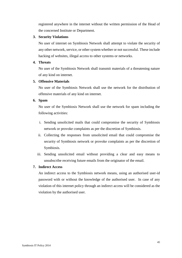registered anywhere in the internet without the written permission of the Head of the concerned Institute or Department.

#### **3. Security Violations**

No user of internet on Symbiosis Network shall attempt to violate the security of any other network, service, or other system whether or not successful. These include hacking of websites, illegal access to other systems or networks.

#### **4. Threats**

No user of the Symbiosis Network shall transmit materials of a threatening nature of any kind on internet.

#### **5. Offensive Materials**

No user of the Symbiosis Network shall use the network for the distribution of offensive materials of any kind on internet.

#### **6. Spam**

No user of the Symbiosis Network shall use the network for spam including the following activities:

- i. Sending unsolicited mails that could compromise the security of Symbiosis network or provoke complaints as per the discretion of Symbiosis.
- ii. Collecting the responses from unsolicited email that could compromise the security of Symbiosis network or provoke complaints as per the discretion of Symbiosis.
- iii. Sending unsolicited email without providing a clear and easy means to unsubscribe receiving future emails from the originator of the email.

#### **7. Indirect Access**

An indirect access to the Symbiosis network means, using an authorised user-id password with or without the knowledge of the authorised user. In case of any violation of this internet policy through an indirect access will be considered as the violation by the authorised user.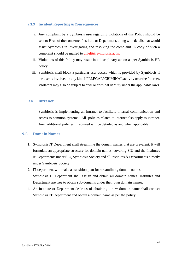#### <span id="page-50-0"></span>**9.3.3 Incident Reporting & Consequences**

- i. Any complaint by a Symbiosis user regarding violations of this Policy should be sent to Head of the concerned Institute or Department, along with details that would assist Symbiosis in investigating and resolving the complaint. A copy of such a complaint should be mailed to [chiefit@s](file:///C:/Users/shaila/Documents/Symbiosis/IT/Draft%20Policy/cyberoam.sic@gmail.com)ymbiosis.ac.in.
- ii. Violations of this Policy may result in a disciplinary action as per Symbiosis HR policy.
- iii. Symbiosis shall block a particular user-access which is provided by Symbiosis if the user is involved in any kind if ILLEGAL/ CRIMINAL activity over the Internet. Violators may also be subject to civil or criminal liability under the applicable laws.

# <span id="page-50-1"></span>**9.4 Intranet**

Symbiosis is implementing an Intranet to facilitate internal communication and access to common systems. All policies related to internet also apply to intranet. Any additional policies if required will be detailed as and when applicable.

### <span id="page-50-2"></span>**9.5 Domain Names**

- 1. Symbiosis IT Department shall streamline the domain names that are prevalent. It will formulate an appropriate structure for domain names, covering SIU and the Institutes & Departments under SIU, Symbiosis Society and all Institutes & Departments directly under Symbiosis Society.
- 2. IT department will make a transition plan for streamlining domain names.
- 3. Symbiosis IT Department shall assign and obtain all domain names. Institutes and Department are free to obtain sub-domains under their own domain names.
- 4. An Institute or Department desirous of obtaining a new domain name shall contact Symbiosis IT Department and obtain a domain name as per the policy.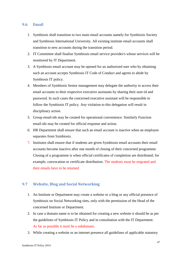# <span id="page-51-0"></span>**9.6 Email**

- 1. Symbiosis shall transition to two main email accounts namely for Symbiosis Society and Symbiosis International University. All existing institute email accounts shall transition to new accounts during the transition period.
- 2. IT Committee shall finalise Symbiosis email service provider/s whose services will be monitored by IT Department.
- 3. A Symbiosis email account may be opened for an authorized user who by obtaining such an account accepts Symbiosis IT Code of Conduct and agrees to abide by Symbiosis IT policy.
- 4. Members of Symbiosis Senior management may delegate the authority to access their email accounts to their respective executive assistants by sharing their user-id and password. In such cases the concerned executive assistant will be responsible to follow the Symbiosis IT policy. Any violation to this delegation will result in disciplinary action.
- 5. Group email-ids may be created for operational convenience. Similarly Function email-ids may be created for official response and action.
- 6. HR Department shall ensure that such an email account is inactive when an employee separates from Symbiosis.
- 7. Institutes shall ensure that if students are given Symbiosis email accounts their email accounts become inactive after one month of closing of their concerned programme. Closing of a programme is when official certificates of completion are distributed; for example, convocation or certificate distribution. The students must be migrated and their emails have to be retained

# <span id="page-51-1"></span>**9.7 Website, Blog and Social Networking**

- 1. An Institute or Department may create a website or a blog or any official presence of Symbiosis on Social Networking sites, only with the permission of the Head of the concerned Institute or Department.
- 2. In case a domain name is to be obtained for creating a new website it should be as per the guidelines of Symbiosis IT Policy and in consultation with the IT Department. As far as possible it must be a subdomain.
- 3. While creating a website or an internet presence all guidelines of applicable statutory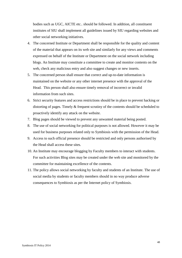bodies such as UGC, AICTE etc.. should be followed. In addition, all constituent institutes of SIU shall implement all guidelines issued by SIU regarding websites and other social networking initiatives.

- 4. The concerned Institute or Department shall be responsible for the quality and content of the material that appears on its web site and similarly for any views and comments expressed on behalf of the Institute or Department on the social network including blogs. An Institute may constitute a committee to create and monitor contents on the web, check any malicious entry and also suggest changes or new inserts.
- 5. The concerned person shall ensure that correct and up-to-date information is maintained on the website or any other internet presence with the approval of the Head. This person shall also ensure timely removal of incorrect or invalid information from such sites.
- 6. Strict security features and access restrictions should be in place to prevent hacking or distorting of pages. Timely & frequent scrutiny of the contents should be scheduled to proactively identify any attack on the website.
- 7. Blog pages should be viewed to prevent any unwanted material being posted.
- 8. The use of social networking for political purposes is not allowed. However it may be used for business purposes related only to Symbiosis with the permission of the Head.
- 9. Access to such official presence should be restricted and only persons authorised by the Head shall access these sites.
- 10. An Institute may encourage blogging by Faculty members to interact with students. For such activities Blog sites may be created under the web site and monitored by the committee for maintaining excellence of the contents.
- 11. The policy allows social networking by faculty and students of an Institute. The use of social media by students or faculty members should in no way produce adverse consequences to Symbiosis as per the Internet policy of Symbiosis.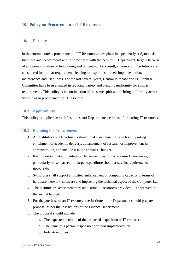# <span id="page-53-0"></span>**10. Policy on Procurement of IT Resources**

#### <span id="page-53-1"></span>**10.1 Purpose**

In the normal course, procurement of IT Resources takes place independently at Symbiosis Institutes and Departments and in some cases with the help of IT Department, largely because of autonomous nature of functioning and budgeting. As a result, a variety of IT solutions are considered for similar requirements leading to disparities in their implementation, maintenance and usefulness. For the last several years, Central Purchase and IT Purchase Committee have been engaged in reducing variety and bringing uniformity for similar requirements. This policy is in continuation of the same spirit and to bring uniformity across Symbiosis in procurement of IT resources.

#### <span id="page-53-2"></span>**10.2 Applicability**

This policy is applicable to all Institutes and Departments desirous of procuring IT resources.

#### <span id="page-53-3"></span>**10.3 Planning for Procurement**

- 1. All Institutes and Departments should make an annual IT plan for supporting enrichment of academic delivery, advancement of research or improvement in administration, and include it in the annual IT budget.
- 2. It is important that an Institute or Department desiring to acquire IT resources, particularly those that require large expenditure should assess its requirements thoroughly.
- 3. Symbiosis shall support a justified enhancement of computing capacity in terms of hardware, network, software and improving the technical aspect of the Computer Lab.
- 4. The Institute or Department may requisition IT resources provided it is approved in the annual budget.
- 5. For the purchase of an IT resource, the Institute or the Department should prepare a proposal as per the instructions of the Finance Department.
- 6. The proposal should include:
	- a. The expected outcome of the proposed acquisition of IT resources
	- b. The name of a person responsible for their implementation.
	- c. Indicative prices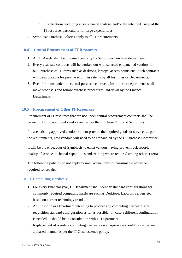- d. Justifications including a cost-benefit analysis and/or the intended usage of the IT resource, particularly for large expenditures.
- 7. Symbiosis Purchase Policies apply to all IT procurements.

#### **10.4 Central Procurement of IT Resources**

- <span id="page-54-0"></span>1. All IT Assets shall be procured centrally by Symbiosis Purchase department.
- 2. Every year rate contracts will be worked out with selected empanelled vendors for bulk purchase of IT items such as desktops, laptops, access points etc.. Such contracts will be applicable for purchases of these items by all Institutes or Departments.
- 3. Even for items under the central purchase contracts, Institutes or departments shall make proposals and follow purchase procedures laid down by the Finance Department.

#### <span id="page-54-1"></span>**10.5 Procurement of Other IT Resources**

Procurement of IT resources that are not under central procurement contracts shall be carried out from approved vendors and as per the Purchase Policy of Symbiosis.

In case existing approved vendors cannot provide the required goods or services as per the requirements, new vendors will need to be empaneled by the IT Purchase Committee.

It will be the endeavour of Symbiosis to enlist vendors having proven track record, quality of service, technical capabilities and training where required among other criteria.

The following policies do not apply to small-value items of consumable nature or required for repairs.

#### <span id="page-54-2"></span>**10.5.1 Computing Hardware**

- 1. For every financial year, IT Department shall identify standard configurations for commonly required computing hardware such as Desktops, Laptops, Servers etc. based on current technology trends.
- 2. Any Institute or Department intending to procure any computing hardware shall requisition standard configuration as far as possible. In case a different configuration is needed, it should be in consultation with IT Department.
- 3. Replacement of obsolete computing hardware on a large scale should be carried out in a phased manner as per the IT Obsolescence policy.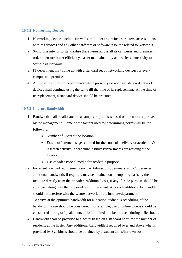#### <span id="page-55-0"></span>**10.5.2 Networking Devices**

- 1. Networking devices include firewalls, multiplexers, switches, routers, access points, wireless devices and any other hardware or software resource related to Networks.
- 2. Symbiosis intends to standardise these items across all its campuses and premises in order to ensure better efficiency, easier maintainability and easier connectivity to Symbiosis Network.
- 3. IT department may come up with a standard set of networking devices for every campus and premises.
- 4. All those Institutes or Departments which presently do not have standard network devices shall continue using the same till the time of its replacement. At the time of its replacement, a standard device should be procured.

# <span id="page-55-1"></span>**10.5.3 Internet Bandwidth**

- 1. Bandwidth shall be allocated to a campus or premises based on the norms approved by the management. Some of the factors used for determining norms will be the following:
	- Number of Users at the location
	- Extent of Internet usage required for the curricula delivery or academic  $\&$ research activity, if academic institutes/departments are residing at the location
	- Use of videos/social media for academic purpose.
- 2. For event oriented requirements such as Admissions, Seminars, and Conferences additional bandwidth, if required, may be obtained on a temporary basis by the Institute directly from the provider. Additional cost, if any, for the purpose should be approved along with the proposed cost of the event. Any such additional bandwidth should not interfere with the secure network of the institute/department.
- 3. To arrive at the optimum bandwidth for a location, judicious scheduling of the bandwidth usage should be considered. For example, use of online videos should be considered during off-peak hours or for a limited number of users during office hours.
- 4. Bandwidth shall be provided to a hostel based on a standard norm for the number of residents at the hostel. Any additional bandwidth if required over and above what is provided by Symbiosis should be obtained by a student at his/her own cost.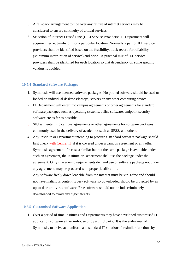- 5. A fall-back arrangement to tide over any failure of internet services may be considered to ensure continuity of critical services.
- 6. Selection of Internet Leased Line (ILL) Service Providers: IT Department will acquire internet bandwidth for a particular location. Normally a pair of ILL service providers shall be identified based on the feasibility, track record for reliability (Minimum interruption of service) and price. A practical mix of ILL service providers shall be identified for each location so that dependency on some specific vendors is avoided.

#### <span id="page-56-0"></span>**10.5.4 Standard Software Packages**

- 1. Symbiosis will use licensed software packages. No pirated software should be used or loaded on individual desktops/laptops, servers or any other computing device.
- 2. IT Department will enter into campus agreements or other agreements for standard software packages such as operating systems, office software, endpoint security software etc.as far as possible.
- 3. SIU will enter into campus agreements or other agreements for software packages commonly used in the delivery of academics such as SPSS, and others.
- 4. Any Institute or Department intending to procure a standard software package should first check with Central IT if it is covered under a campus agreement or any other Symbiosis agreement. In case a similar but not the same package is available under such an agreement, the Institute or Department shall use the package under the agreement. Only if academic requirements demand use of software package not under any agreement, may be procured with proper justification.
- 5. Any software freely down loadable from the internet must be virus-free and should not have malicious content. Every software so downloaded should be protected by an up-to-date anti-virus software. Free software should not be indiscriminately downloaded to avoid any cyber threats.

#### <span id="page-56-1"></span>**10.5.5 Customised Software Application**

1. Over a period of time Institutes and Departments may have developed customised IT application software either in-house or by a third party. It is the endeavour of Symbiosis, to arrive at a uniform and standard IT solutions for similar functions by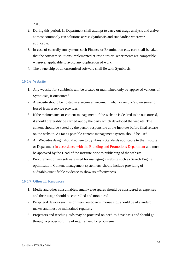2015.

- 2. During this period, IT Department shall attempt to carry out usage analysis and arrive at most commonly run solutions across Symbiosis and standardise wherever applicable.
- 3. In case of centrally run systems such Finance or Examination etc., care shall be taken that the software solutions implemented at Institutes or Departments are compatible wherever applicable to avoid any duplication of work.
- 4. The ownership of all customised software shall lie with Symbiosis.

### <span id="page-57-0"></span>**10.5.6 Website**

- 1. Any website for Symbiosis will be created or maintained only by approved vendors of Symbiosis, if outsourced.
- 2. A website should be hosted in a secure environment whether on one's own server or leased from a service provider.
- 3. If the maintenance or content management of the website is desired to be outsourced, it should preferably be carried out by the party which developed the website. The content should be vetted by the person responsible at the Institute before final release on the website. As far as possible content-management system should be used.
- 4. All Websites design should adhere to Symbiosis Standards applicable to the Institute or Department in accordance with the Branding and Promotions Department and must be approved by the Head of the institute prior to publishing of the website.
- 5. Procurement of any software used for managing a website such as Search Engine optimisation, Content management system etc. should include providing of auditable/quantifiable evidence to show its effectiveness.

#### <span id="page-57-1"></span>**10.5.7 Other IT Resources**

- 1. Media and other consumables, small-value spares should be considered as expenses and their usage should be controlled and monitored.
- 2. Peripheral devices such as printers, keyboards, mouse etc.. should be of standard makes and must be maintained regularly.
- 3. Projectors and teaching-aids may be procured on need-to-have basis and should go through a proper scrutiny of requirement for procurement.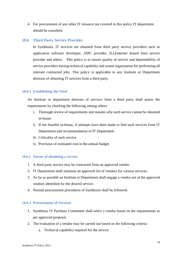4. For procurement of any other IT resource not covered in this policy IT department should be consulted.

#### <span id="page-58-0"></span>**10.6 Third Party Service Provider**

In Symbiosis, IT services are obtained from third party service providers such as application software developer, AMC provider, ILL(internet leased line) service provider and others. This policy is to ensure quality of service and dependability of service providers having technical capability and sound organisation for performing all relevant contracted jobs. This policy is applicable to any Institute or Department desirous of obtaining IT services from a third party.

### <span id="page-58-1"></span>**10.6.1 Establishing the Need**

An Institute or department desirous of services from a third party shall assess the requirements by checking the following among others:

- i. Thorough review of requirements and reasons why such service cannot be obtained in-house
- ii. If not feasible in-house, if attempts have been made to find such services from IT Department and recommendation of IT Department
- iii. Criticality of such service
- iv. Provision of estimated cost in the annual budget.

#### <span id="page-58-2"></span>**10.6.2 Norms of obtaining a service**

- 1. A third party service may be contracted from an approved vendor.
- 2. IT Department shall maintain an approved list of vendors for various services.
- 3. As far as possible an Institute or Department shall engage a vendor out of the approved vendors identified for the desired service.
- 4. Normal procurement procedures of Symbiosis shall be followed.

#### <span id="page-58-3"></span>**10.6.3 Procurement of Services**

- 1. Symbiosis IT Purchase Committee shall select a vendor based on the requirements as per approved proposal.
- 2. The evaluation of a vendor may be carried out based on the following criteria:
	- a. Technical capability required for the service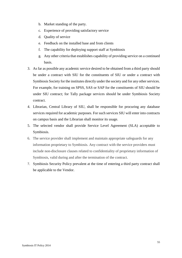- b. Market standing of the party.
- c. Experience of providing satisfactory service
- d. Quality of service
- e. Feedback on the installed base and from clients
- f. The capability for deploying support staff at Symbiosis
- g. Any other criteria that establishes capability of providing service on a continued basis.
- 3. As far as possible any academic service desired to be obtained from a third party should be under a contract with SIU for the constituents of SIU or under a contract with Symbiosis Society for the institutes directly under the society and for any other services. For example, for training on SPSS, SAS or SAP for the constituents of SIU should be under SIU contract; for Tally package services should be under Symbiosis Society contract.
- 4. Librarian, Central Library of SIU, shall be responsible for procuring any database services required for academic purposes. For such services SIU will enter into contracts on campus basis and the Librarian shall monitor its usage.
- 5. The selected vendor shall provide Service Level Agreement (SLA) acceptable to Symbiosis.
- 6. The service provider shall implement and maintain appropriate safeguards for any information proprietary to Symbiosis. Any contract with the service providers must include non-disclosure clauses related to confidentiality of proprietary information of Symbiosis, valid during and after the termination of the contract.
- 7. Symbiosis Security Policy prevalent at the time of entering a third party contract shall be applicable to the Vendor.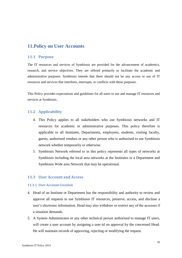# <span id="page-60-0"></span>**11.Policy on User Accounts**

#### <span id="page-60-1"></span>**11.1 Purpose**

The IT resources and services of Symbiosis are provided for the advancement of academics, research, and service objectives. They are offered primarily to facilitate the academic and administrative purposes. Symbiosis intends that there should not be any access or use of IT resources and services that interferes, interrupts, or conflicts with these purposes.

This Policy provides expectations and guidelines for all users to use and manage IT resources and services at Symbiosis.

# <span id="page-60-2"></span>**11.2 Applicability**

- 4. This Policy applies to all stakeholders who use Symbiosis networks and IT resources for academic or administrative purposes. This policy therefore is applicable to all Institutes, Departments, employees, students, visiting faculty, guests, authorised vendors or any other person who is authorised to use Symbiosis network whether temporarily or otherwise.
- 5. Symbiosis Network referred to in this policy represents all types of networks at Symbiosis including the local area networks at the Institutes or a Department and Symbiosis Wide area Network that may be operational.

# <span id="page-60-3"></span>**11.3 User Account and Access**

#### <span id="page-60-4"></span>**11.3.1 User Account Creation**

- 4. Head of an Institute or Department has the responsibility and authority to review and approve all requests to use Symbiosis IT resources, preserve, access, and disclose a user's electronic information. Head may also withdraw or restrict any of the accesses if a situation demands.
- 5. A System Administrator or any other technical person authorised to manage IT users, will create a user account by assigning a user-id on approval by the concerned Head. He will maintain records of approving, rejecting or modifying the request.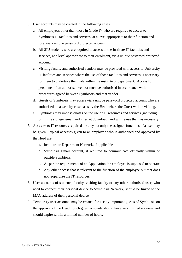- 6. User accounts may be created in the following cases.
	- a. All employees other than those in Grade IV who are required to access to Symbiosis IT facilities and services, at a level appropriate to their function and role, via a unique password protected account.
	- b. All SIU students who are required to access to the Institute IT facilities and services, at a level appropriate to their enrolment, via a unique password protected account.
	- c. Visiting faculty and authorised vendors may be provided with access to University IT facilities and services where the use of those facilities and services is necessary for them to undertake their role within the institute or department. Access for personnel of an authorised vendor must be authorised in accordance with procedures agreed between Symbiosis and that vendor.
	- d. Guests of Symbiosis may access via a unique password protected account who are authorised on a case-by-case basis by the Head where the Guest will be visiting.
	- e. Symbiosis may impose quotas on the use of IT resources and services (including print, file storage, email and internet download) and will revise them as necessary.
- 7. Accesses to IT resources required to carry out only the assigned functions of a user may be given. Typical accesses given to an employee who is authorised and approved by the Head are:
	- a. Institute or Department Network, if applicable
	- b. Symbiosis Email account, if required to communicate officially within or outside Symbiosis
	- c. As per the requirements of an Application the employee is supposed to operate
	- d. Any other access that is relevant to the function of the employee but that does not jeopardize the IT resources.
- 8. User accounts of students, faculty, visiting faculty or any other authorised user, who need to connect their personal device to Symbiosis Network, should be linked to the MAC address of their personal device.
- 9. Temporary user accounts may be created for use by important guests of Symbiosis on the approval of the Head. Such guest accounts should have very limited accesses and should expire within a limited number of hours.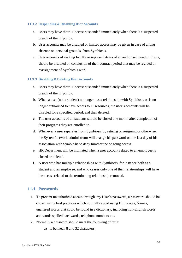#### <span id="page-62-0"></span>**11.3.2 Suspending & Disabling User Accounts**

- a. Users may have their IT access suspended immediately when there is a suspected breach of the IT policy.
- b. User accounts may be disabled or limited access may be given in case of a long absence on personal grounds from Symbiosis.
- c. User accounts of visiting faculty or representatives of an authorised vendor, if any, should be disabled on conclusion of their contract period that may be revived on reassignment of Symbiosis work.

### <span id="page-62-1"></span>**11.3.3 Disabling & Deleting User Accounts**

- a. Users may have their IT access suspended immediately when there is a suspected breach of the IT policy.
- b. When a user (not a student) no longer has a relationship with Symbiosis or is no longer authorised to have access to IT resources, the user's accounts will be disabled for a specified period, and then deleted.
- c. The user accounts of all students should be closed one month after completion of their programs they are enrolled to.
- d. Whenever a user separates from Symbiosis by retiring or resigning or otherwise, the System/network administrator will change his password on the last day of his association with Symbiosis to deny him/her the ongoing access.
- e. HR Department will be intimated when a user account related to an employee is closed or deleted.
- f. A user who has multiple relationships with Symbiosis, for instance both as a student and an employee, and who ceases only one of their relationships will have the access related to the terminating relationship removed.

# <span id="page-62-2"></span>**11.4 Passwords**

- 1. To prevent unauthorized access through any User's password, a password should be chosen using best practices which normally avoid using Birth dates, Names, unaltered words that could be found in a dictionary, including non-English words and words spelled backwards, telephone numbers etc.
- 2. Normally a password should meet the following criteria:
	- a) Is between 8 and 32 characters;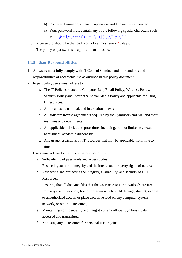- b) Contains 1 numeric, at least 1 uppercase and 1 lowercase character;
- c) Your password must contain any of the following special characters such as [~,!,@,#,\\$,%,^,&,\\*,\(,\),+,=,-,`,{,},\[,\],|,\,:,",';<>,.?,/.](mailto:~!@#$%^&*()_+=-`{}[]|/:)
- 3. A password should be changed regularly at most every 45 days.
- 4. The policy on passwords is applicable to all users.

#### <span id="page-63-0"></span>**11.5 User Responsibilities**

- 1. All Users must fully comply with IT Code of Conduct and the standards and responsibilities of acceptable use as outlined in this policy document.
- 2. In particular, users must adhere to
	- a. The IT Policies related to Computer Lab, Email Policy, Wireless Policy, Security Policy and Internet & Social Media Policy and applicable for using IT resources.
	- b. All local, state, national, and international laws;
	- c. All software license agreements acquired by the Symbiosis and SIU and their institutes and departments;
	- d. All applicable policies and procedures including, but not limited to, sexual harassment, academic dishonesty.
	- e. Any usage restrictions on IT resources that may be applicable from time to time.
- 3. Users must adhere to the following responsibilities:
	- a. Self-policing of passwords and access codes;
	- b. Respecting authorial integrity and the intellectual property rights of others;
	- c. Respecting and protecting the integrity, availability, and security of all IT Resources;
	- d. Ensuring that all data and files that the User accesses or downloads are free from any computer code, file, or program which could damage, disrupt, expose to unauthorized access, or place excessive load on any computer system, network, or other IT Resource;
	- e. Maintaining confidentiality and integrity of any official Symbiosis data accessed and transmitted;
	- f. Not using any IT resource for personal use or gains;